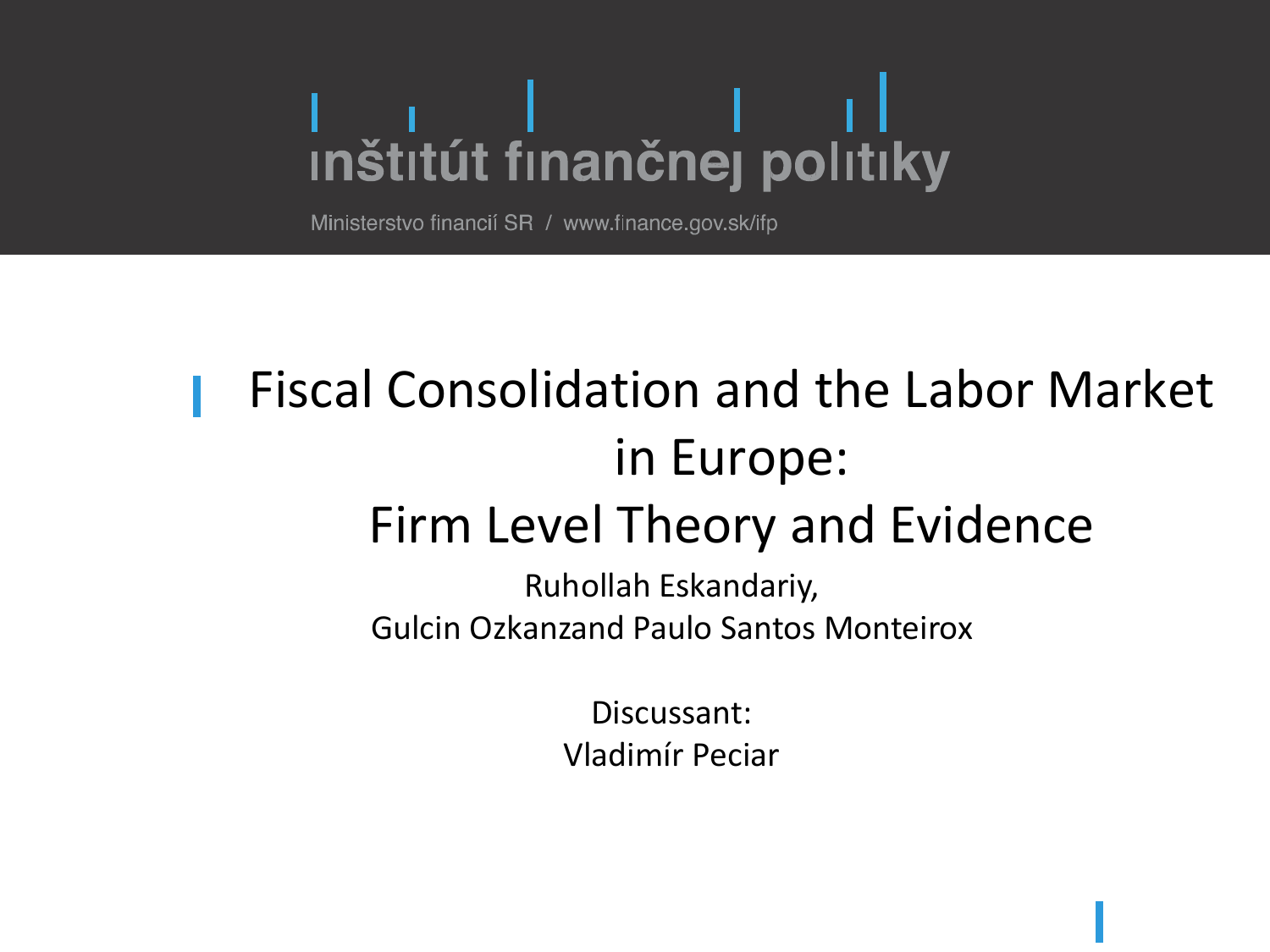# I I Denseignal<br>Inštitút finančnej politiky

Ministerstvo financií SR / www.finance.gov.sk/ifp

#### Fiscal Consolidation and the Labor Market in Europe: Firm Level Theory and Evidence

Ruhollah Eskandariy, Gulcin Ozkanzand Paulo Santos Monteirox

> Discussant: Vladimír Peciar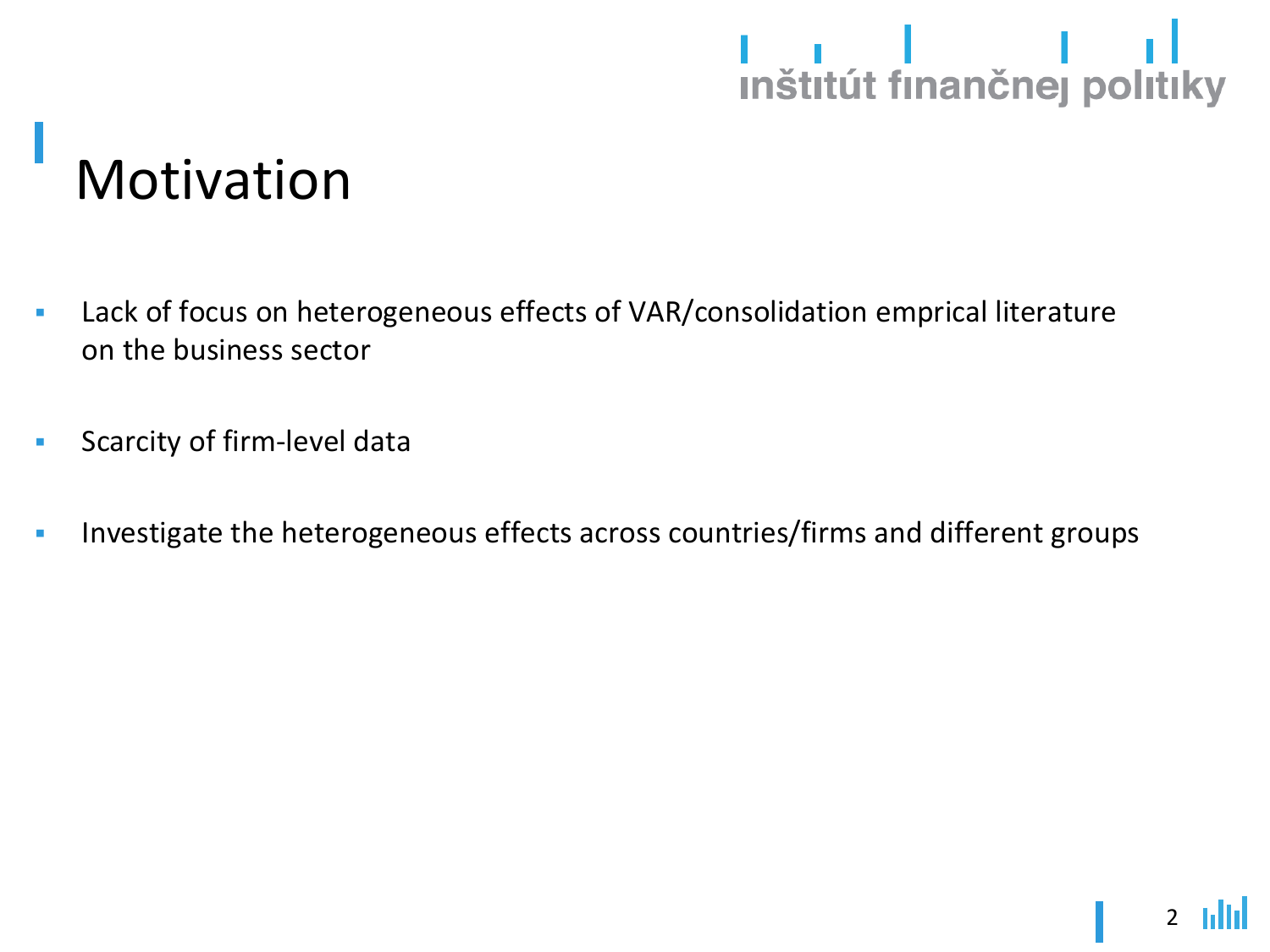### 

### Motivation

- **EXED:** Lack of focus on heterogeneous effects of VAR/consolidation emprical literature on the business sector
- **EXEC** Scarcity of firm-level data
- **EXP** Investigate the heterogeneous effects across countries/firms and different groups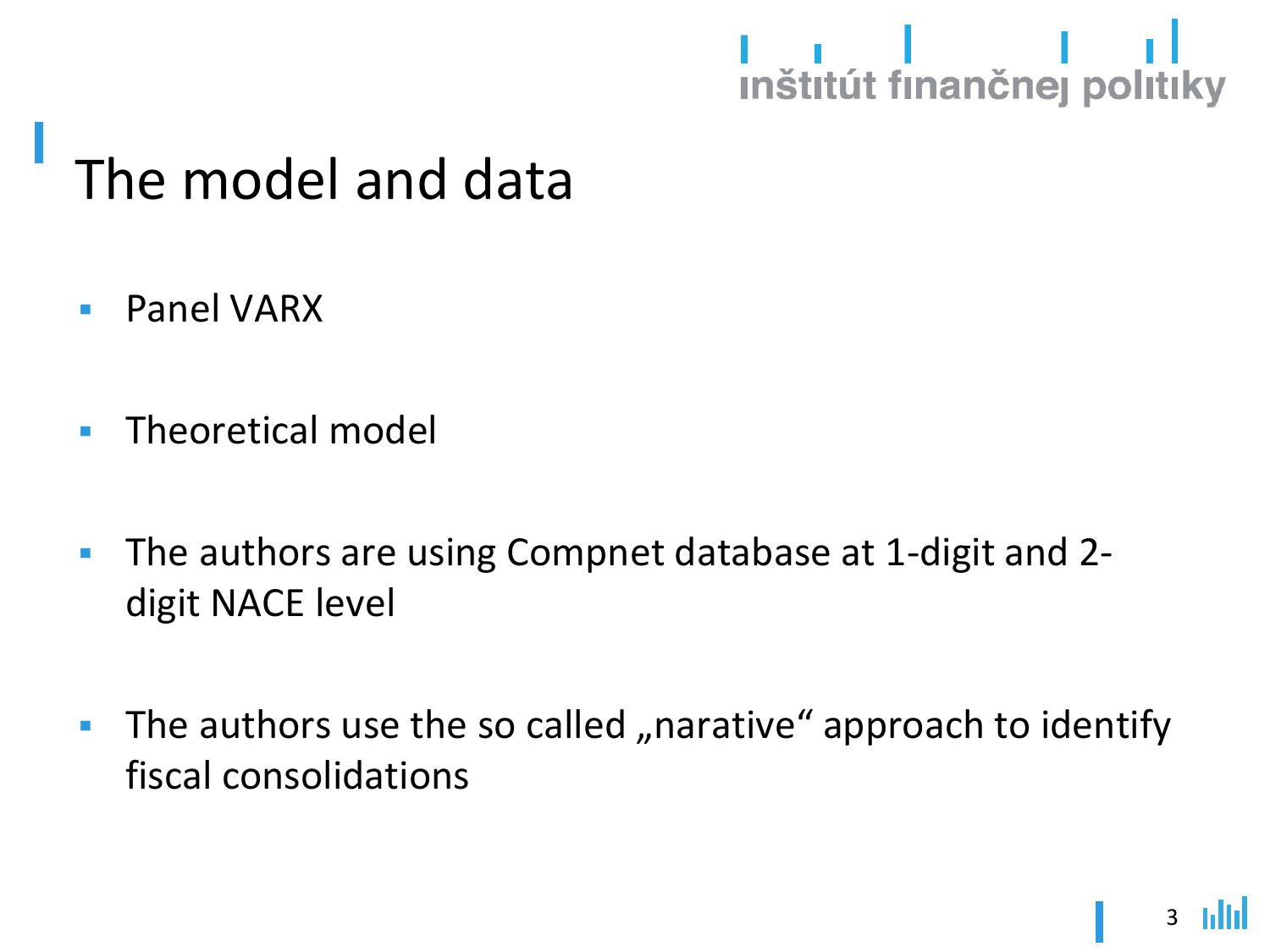### I I I<br>Inštitút finančnej politiky

#### The model and data

- Panel VARX
- Theoretical model
- The authors are using Compnet database at 1-digit and 2 digit NACE level
- The authors use the so called "narative" approach to identify fiscal consolidations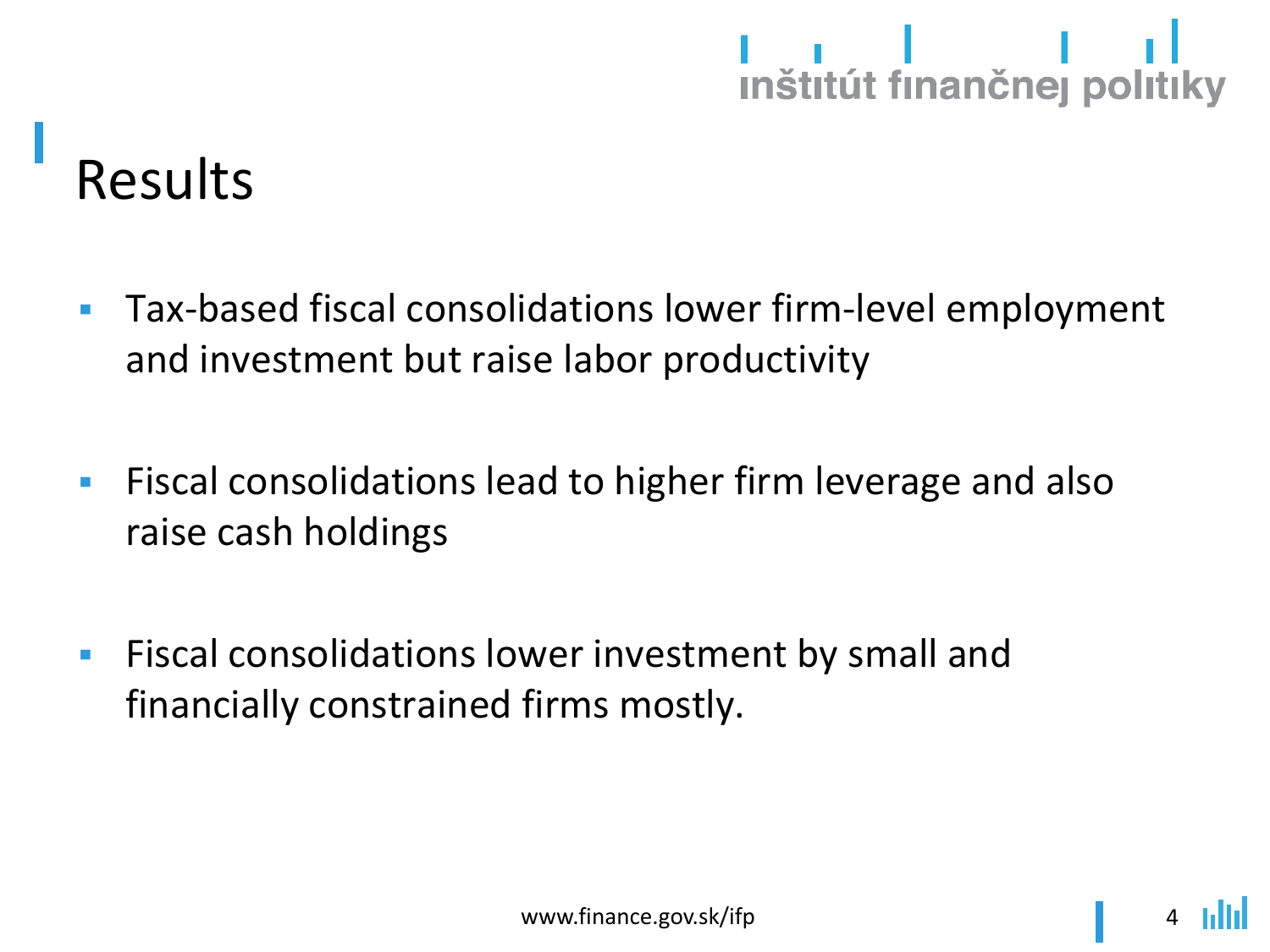## 

### Results

- Tax-based fiscal consolidations lower firm-level employment and investment but raise labor productivity
- **EXA)** Fiscal consolidations lead to higher firm leverage and also raise cash holdings
- **EXECTE FISCAL CONSOLIGATIONS LOWER INVESTMENT by SMAll and** financially constrained firms mostly.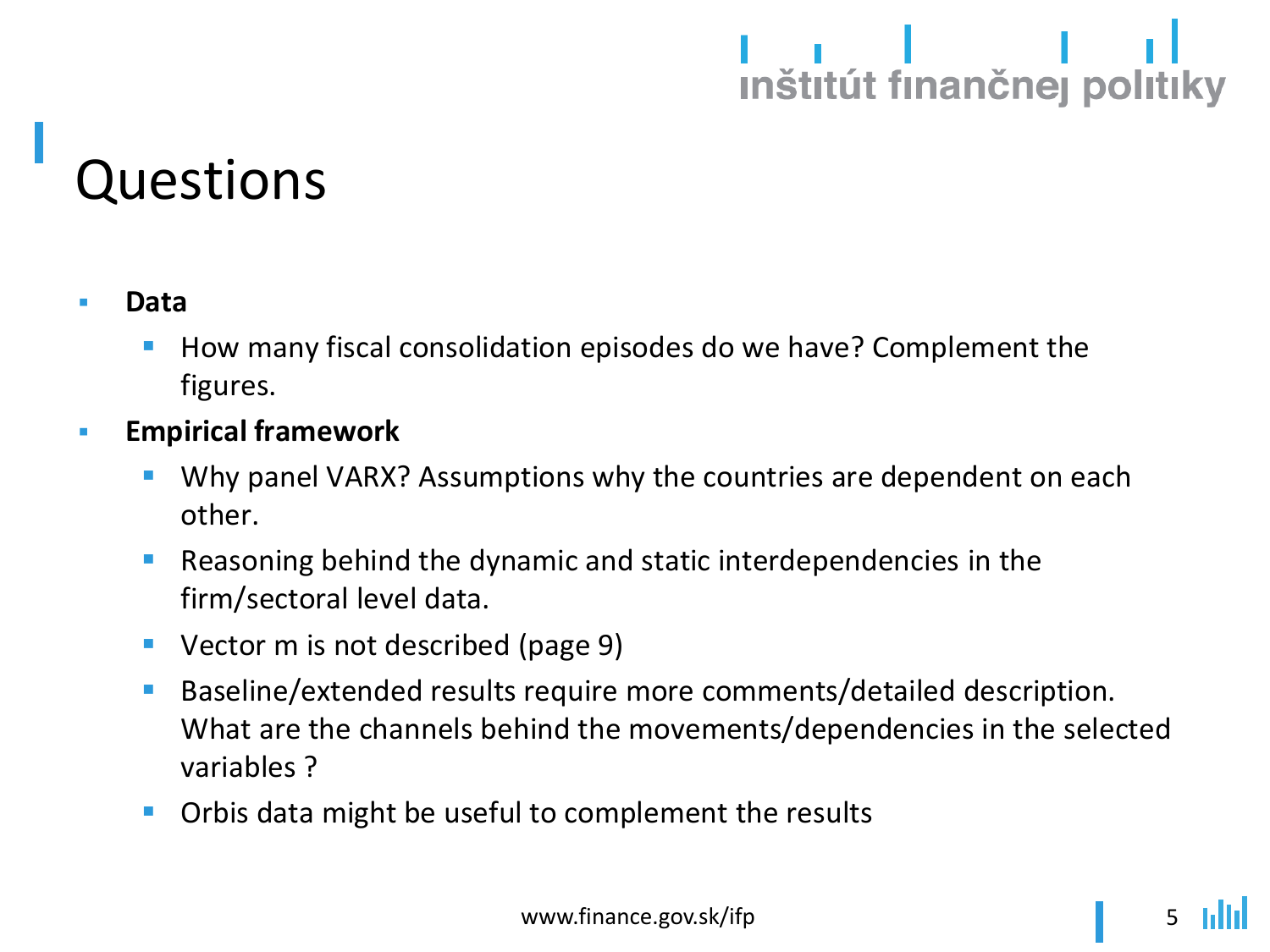## I I VITE<br>Inštitút finančnej politiky

#### Questions

- **Data**
	- How many fiscal consolidation episodes do we have? Complement the figures.
- **Empirical framework**
	- Why panel VARX? Assumptions why the countries are dependent on each other.
	- Reasoning behind the dynamic and static interdependencies in the firm/sectoral level data.
	- Vector m is not described (page 9)
	- Baseline/extended results require more comments/detailed description. What are the channels behind the movements/dependencies in the selected variables ?
	- Orbis data might be useful to complement the results